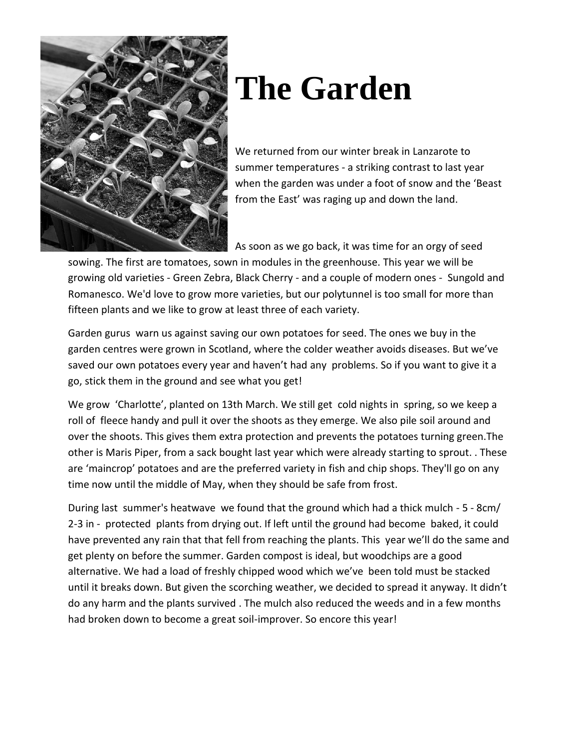

## **The Garden**

We returned from our winter break in Lanzarote to summer temperatures - a striking contrast to last year when the garden was under a foot of snow and the 'Beast from the East' was raging up and down the land.

As soon as we go back, it was time for an orgy of seed

sowing. The first are tomatoes, sown in modules in the greenhouse. This year we will be growing old varieties - Green Zebra, Black Cherry - and a couple of modern ones - Sungold and Romanesco. We'd love to grow more varieties, but our polytunnel is too small for more than fifteen plants and we like to grow at least three of each variety.

Garden gurus warn us against saving our own potatoes for seed. The ones we buy in the garden centres were grown in Scotland, where the colder weather avoids diseases. But we've saved our own potatoes every year and haven't had any problems. So if you want to give it a go, stick them in the ground and see what you get!

We grow 'Charlotte', planted on 13th March. We still get cold nights in spring, so we keep a roll of fleece handy and pull it over the shoots as they emerge. We also pile soil around and over the shoots. This gives them extra protection and prevents the potatoes turning green.The other is Maris Piper, from a sack bought last year which were already starting to sprout. . These are 'maincrop' potatoes and are the preferred variety in fish and chip shops. They'll go on any time now until the middle of May, when they should be safe from frost.

During last summer's heatwave we found that the ground which had a thick mulch - 5 - 8cm/ 2-3 in - protected plants from drying out. If left until the ground had become baked, it could have prevented any rain that that fell from reaching the plants. This year we'll do the same and get plenty on before the summer. Garden compost is ideal, but woodchips are a good alternative. We had a load of freshly chipped wood which we've been told must be stacked until it breaks down. But given the scorching weather, we decided to spread it anyway. It didn't do any harm and the plants survived . The mulch also reduced the weeds and in a few months had broken down to become a great soil-improver. So encore this year!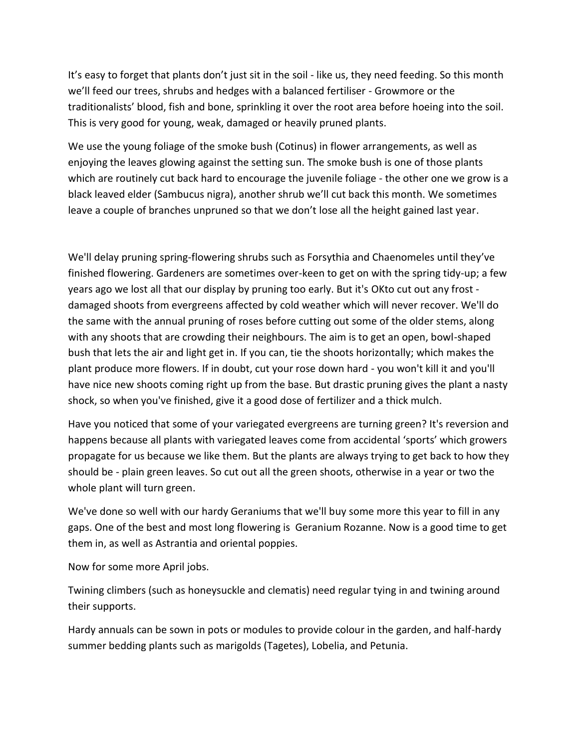It's easy to forget that plants don't just sit in the soil - like us, they need feeding. So this month we'll feed our trees, shrubs and hedges with a balanced fertiliser - Growmore or the traditionalists' blood, fish and bone, sprinkling it over the root area before hoeing into the soil. This is very good for young, weak, damaged or heavily pruned plants.

We use the young foliage of the smoke bush (Cotinus) in flower arrangements, as well as enjoying the leaves glowing against the setting sun. The smoke bush is one of those plants which are routinely cut back hard to encourage the juvenile foliage - the other one we grow is a black leaved elder (Sambucus nigra), another shrub we'll cut back this month. We sometimes leave a couple of branches unpruned so that we don't lose all the height gained last year.

We'll delay [pruning spring-flowering shrubs](https://www.rhs.org.uk/advice/profile?PID=197) such as Forsythia and Chaenomeles until they've finished flowering. Gardeners are sometimes over-keen to get on with the spring tidy-up; a few years ago we lost all that our display by pruning too early. But it's OKto cut out [any frost](https://www.rhs.org.uk/advice/profile?PID=168)  [damaged shoots from evergreens](https://www.rhs.org.uk/advice/profile?PID=168) affected by cold weather which will never recover. We'll do the same with the annual pruning of roses before cutting out some of the older stems, along with any shoots that are crowding their neighbours. The aim is to get an open, bowl-shaped bush that lets the air and light get in. If you can, tie the shoots horizontally; which makes the plant produce more flowers. If in doubt, cut your rose down hard - you won't kill it and you'll have nice new shoots coming right up from the base. But drastic pruning gives the plant a nasty shock, so when you've finished, give it a good dose of fertilizer and a thick mulch.

Have you noticed that some of your variegated evergreens are turning green? It's reversion and happens because all plants with variegated leaves come from accidental 'sports' which growers propagate for us because we like them. But the plants are always trying to get back to how they should be - plain green leaves. So cut out all the green shoots, otherwise in a year or two the whole plant will turn green.

We've done so well with our hardy Geraniums that we'll buy some more this year to fill in any gaps. One of the best and most long flowering is Geranium Rozanne. Now is a good time to get them in, as well as Astrantia and oriental poppies.

Now for some more April jobs.

Twining climbers (such as [honeysuckle](https://www.rhs.org.uk/advice/profile?PID=439) an[d](https://www.rhs.org.uk/advice/profile?PID=97) [clematis\)](https://www.rhs.org.uk/advice/profile?PID=97) need regular tying in and twining around their supports.

[Hardy annuals can be sown](https://www.rhs.org.uk/advice/profile?PID=718) in pots or modules to provide colour in the garden, and half-hardy summer bedding plants such as marigolds (Tagetes), Lobelia, and Petunia.